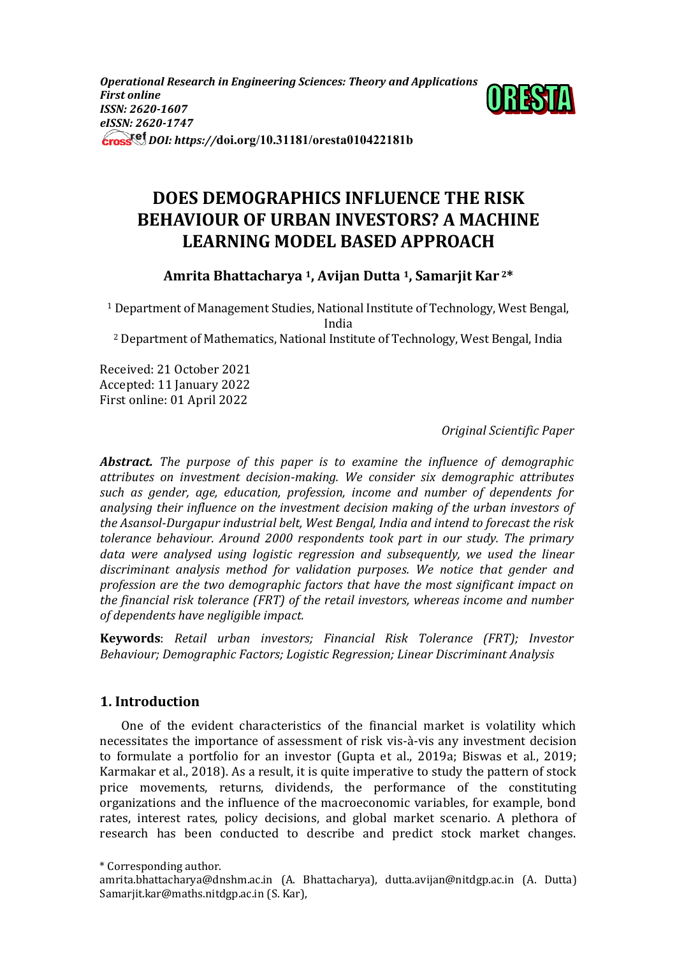*Operational Research in Engineering Sciences: Theory and Applications First online ISSN: 2620-1607 eISSN: 2620-1747 DOI: https://***doi.org/10.31181/oresta010422181b**



# **DOES DEMOGRAPHICS INFLUENCE THE RISK BEHAVIOUR OF URBAN INVESTORS? A MACHINE LEARNING MODEL BASED APPROACH**

**Amrita Bhattacharya <sup>1</sup>, Avijan Dutta 1, Samarjit Kar <sup>2</sup>\***

<sup>1</sup> Department of Management Studies, National Institute of Technology, West Bengal, India

<sup>2</sup> Department of Mathematics, National Institute of Technology, West Bengal, India

Received: 21 October 2021 Accepted: 11 January 2022 First online: 01 April 2022

*Original Scientific Paper*

*Abstract. The purpose of this paper is to examine the influence of demographic attributes on investment decision-making. We consider six demographic attributes such as gender, age, education, profession, income and number of dependents for analysing their influence on the investment decision making of the urban investors of the Asansol-Durgapur industrial belt, West Bengal, India and intend to forecast the risk tolerance behaviour. Around 2000 respondents took part in our study. The primary data were analysed using logistic regression and subsequently, we used the linear discriminant analysis method for validation purposes. We notice that gender and profession are the two demographic factors that have the most significant impact on the financial risk tolerance (FRT) of the retail investors, whereas income and number of dependents have negligible impact.*

**Keywords**: *Retail urban investors; Financial Risk Tolerance (FRT); Investor Behaviour; Demographic Factors; Logistic Regression; Linear Discriminant Analysis*

# **1. Introduction**

One of the evident characteristics of the financial market is volatility which necessitates the importance of assessment of risk vis-à-vis any investment decision to formulate a portfolio for an investor (Gupta et al., 2019a; Biswas et al., 2019; Karmakar et al., 2018). As a result, it is quite imperative to study the pattern of stock price movements, returns, dividends, the performance of the constituting organizations and the influence of the macroeconomic variables, for example, bond rates, interest rates, policy decisions, and global market scenario. A plethora of research has been conducted to describe and predict stock market changes.

<sup>\*</sup> Corresponding author.

amrita.bhattacharya@dnshm.ac.in (A. Bhattacharya), dutta.avijan@nitdgp.ac.in (A. Dutta) Samarjit.kar@maths.nitdgp.ac.in (S. Kar),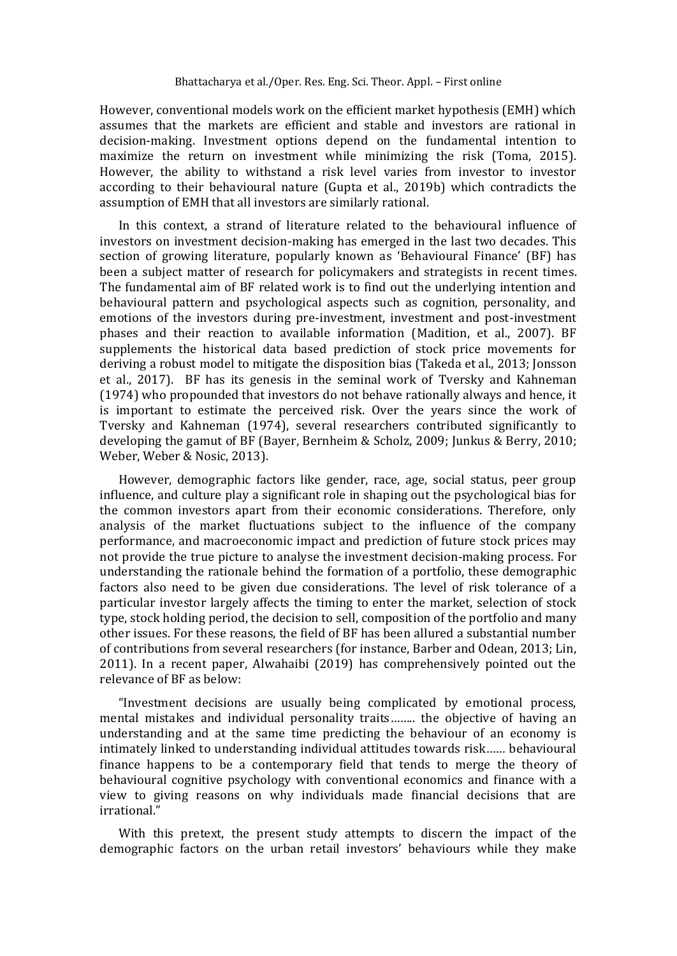However, conventional models work on the efficient market hypothesis (EMH) which assumes that the markets are efficient and stable and investors are rational in decision-making. Investment options depend on the fundamental intention to maximize the return on investment while minimizing the risk (Toma, 2015). However, the ability to withstand a risk level varies from investor to investor according to their behavioural nature (Gupta et al., 2019b) which contradicts the assumption of EMH that all investors are similarly rational.

In this context, a strand of literature related to the behavioural influence of investors on investment decision-making has emerged in the last two decades. This section of growing literature, popularly known as 'Behavioural Finance' (BF) has been a subject matter of research for policymakers and strategists in recent times. The fundamental aim of BF related work is to find out the underlying intention and behavioural pattern and psychological aspects such as cognition, personality, and emotions of the investors during pre-investment, investment and post-investment phases and their reaction to available information (Madition, et al., 2007). BF supplements the historical data based prediction of stock price movements for deriving a robust model to mitigate the disposition bias (Takeda et al., 2013; Jonsson et al., 2017). BF has its genesis in the seminal work of Tversky and Kahneman (1974) who propounded that investors do not behave rationally always and hence, it is important to estimate the perceived risk. Over the years since the work of Tversky and Kahneman (1974), several researchers contributed significantly to developing the gamut of BF (Bayer, Bernheim & Scholz, 2009; Junkus & Berry, 2010; Weber, Weber & Nosic, 2013).

However, demographic factors like gender, race, age, social status, peer group influence, and culture play a significant role in shaping out the psychological bias for the common investors apart from their economic considerations. Therefore, only analysis of the market fluctuations subject to the influence of the company performance, and macroeconomic impact and prediction of future stock prices may not provide the true picture to analyse the investment decision-making process. For understanding the rationale behind the formation of a portfolio, these demographic factors also need to be given due considerations. The level of risk tolerance of a particular investor largely affects the timing to enter the market, selection of stock type, stock holding period, the decision to sell, composition of the portfolio and many other issues. For these reasons, the field of BF has been allured a substantial number of contributions from several researchers (for instance, Barber and Odean, 2013; Lin, 2011). In a recent paper, Alwahaibi (2019) has comprehensively pointed out the relevance of BF as below:

"Investment decisions are usually being complicated by emotional process, mental mistakes and individual personality traits…….. the objective of having an understanding and at the same time predicting the behaviour of an economy is intimately linked to understanding individual attitudes towards risk…… behavioural finance happens to be a contemporary field that tends to merge the theory of behavioural cognitive psychology with conventional economics and finance with a view to giving reasons on why individuals made financial decisions that are irrational."

With this pretext, the present study attempts to discern the impact of the demographic factors on the urban retail investors' behaviours while they make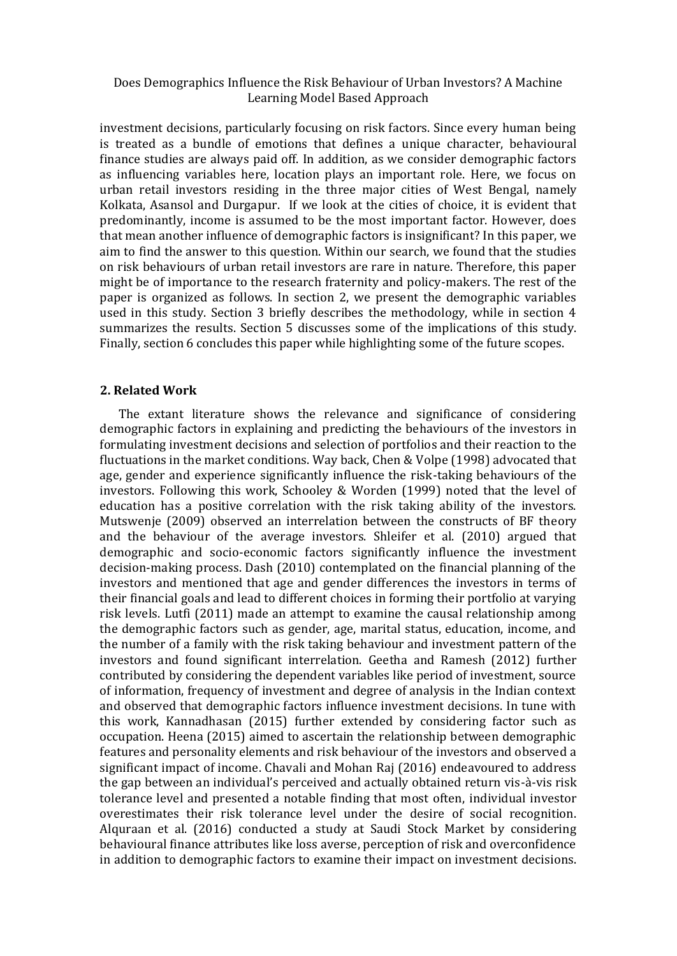investment decisions, particularly focusing on risk factors. Since every human being is treated as a bundle of emotions that defines a unique character, behavioural finance studies are always paid off. In addition, as we consider demographic factors as influencing variables here, location plays an important role. Here, we focus on urban retail investors residing in the three major cities of West Bengal, namely Kolkata, Asansol and Durgapur. If we look at the cities of choice, it is evident that predominantly, income is assumed to be the most important factor. However, does that mean another influence of demographic factors is insignificant? In this paper, we aim to find the answer to this question. Within our search, we found that the studies on risk behaviours of urban retail investors are rare in nature. Therefore, this paper might be of importance to the research fraternity and policy-makers. The rest of the paper is organized as follows. In section 2, we present the demographic variables used in this study. Section 3 briefly describes the methodology, while in section 4 summarizes the results. Section 5 discusses some of the implications of this study. Finally, section 6 concludes this paper while highlighting some of the future scopes.

#### **2. Related Work**

The extant literature shows the relevance and significance of considering demographic factors in explaining and predicting the behaviours of the investors in formulating investment decisions and selection of portfolios and their reaction to the fluctuations in the market conditions. Way back, Chen & Volpe (1998) advocated that age, gender and experience significantly influence the risk-taking behaviours of the investors. Following this work, Schooley & Worden (1999) noted that the level of education has a positive correlation with the risk taking ability of the investors. Mutswenje (2009) observed an interrelation between the constructs of BF theory and the behaviour of the average investors. Shleifer et al. (2010) argued that demographic and socio-economic factors significantly influence the investment decision-making process. Dash (2010) contemplated on the financial planning of the investors and mentioned that age and gender differences the investors in terms of their financial goals and lead to different choices in forming their portfolio at varying risk levels. Lutfi (2011) made an attempt to examine the causal relationship among the demographic factors such as gender, age, marital status, education, income, and the number of a family with the risk taking behaviour and investment pattern of the investors and found significant interrelation. Geetha and Ramesh (2012) further contributed by considering the dependent variables like period of investment, source of information, frequency of investment and degree of analysis in the Indian context and observed that demographic factors influence investment decisions. In tune with this work, Kannadhasan (2015) further extended by considering factor such as occupation. Heena (2015) aimed to ascertain the relationship between demographic features and personality elements and risk behaviour of the investors and observed a significant impact of income. Chavali and Mohan Raj (2016) endeavoured to address the gap between an individual's perceived and actually obtained return vis-à-vis risk tolerance level and presented a notable finding that most often, individual investor overestimates their risk tolerance level under the desire of social recognition. Alquraan et al. (2016) conducted a study at Saudi Stock Market by considering behavioural finance attributes like loss averse, perception of risk and overconfidence in addition to demographic factors to examine their impact on investment decisions.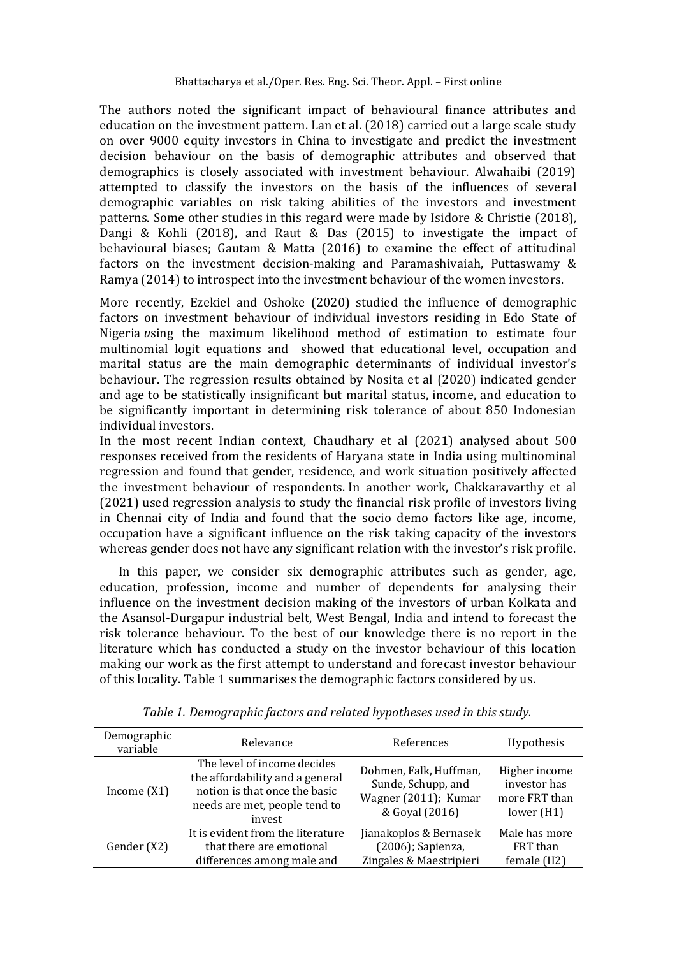The authors noted the significant impact of behavioural finance attributes and education on the investment pattern. Lan et al. (2018) carried out a large scale study on over 9000 equity investors in China to investigate and predict the investment decision behaviour on the basis of demographic attributes and observed that demographics is closely associated with investment behaviour. Alwahaibi (2019) attempted to classify the investors on the basis of the influences of several demographic variables on risk taking abilities of the investors and investment patterns. Some other studies in this regard were made by Isidore & Christie (2018), Dangi & Kohli (2018), and Raut & Das (2015) to investigate the impact of behavioural biases; Gautam & Matta (2016) to examine the effect of attitudinal factors on the investment decision-making and Paramashivaiah, Puttaswamy & Ramya (2014) to introspect into the investment behaviour of the women investors.

More recently, Ezekiel and Oshoke (2020) studied the influence of demographic factors on investment behaviour of individual investors residing in Edo State of Nigeria *u*sing the maximum likelihood method of estimation to estimate four multinomial logit equations and showed that educational level, occupation and marital status are the main demographic determinants of individual investor's behaviour. The regression results obtained by Nosita et al (2020) indicated gender and age to be statistically insignificant but marital status, income, and education to be significantly important in determining risk tolerance of about 850 Indonesian individual investors.

In the most recent Indian context, Chaudhary et al (2021) analysed about 500 responses received from the residents of Haryana state in India using multinominal regression and found that gender, residence, and work situation positively affected the investment behaviour of respondents. In another work, Chakkaravarthy et al (2021) used regression analysis to study the financial risk profile of investors living in Chennai city of India and found that the socio demo factors like age, income, occupation have a significant influence on the risk taking capacity of the investors whereas gender does not have any significant relation with the investor's risk profile.

In this paper, we consider six demographic attributes such as gender, age, education, profession, income and number of dependents for analysing their influence on the investment decision making of the investors of urban Kolkata and the Asansol-Durgapur industrial belt, West Bengal, India and intend to forecast the risk tolerance behaviour. To the best of our knowledge there is no report in the literature which has conducted a study on the investor behaviour of this location making our work as the first attempt to understand and forecast investor behaviour of this locality. Table 1 summarises the demographic factors considered by us.

| Demographic<br>variable | Relevance                                                                                                                                  | References                                                                             | Hypothesis                                                     |
|-------------------------|--------------------------------------------------------------------------------------------------------------------------------------------|----------------------------------------------------------------------------------------|----------------------------------------------------------------|
| Income $(X1)$           | The level of income decides<br>the affordability and a general<br>notion is that once the basic<br>needs are met, people tend to<br>invest | Dohmen, Falk, Huffman,<br>Sunde, Schupp, and<br>Wagner (2011); Kumar<br>& Goval (2016) | Higher income<br>investor has<br>more FRT than<br>lower $(H1)$ |
| Gender (X2)             | It is evident from the literature<br>that there are emotional<br>differences among male and                                                | Jianakoplos & Bernasek<br>(2006); Sapienza,<br>Zingales & Maestripieri                 | Male has more<br>FRT than<br>female (H2)                       |

*Table 1. Demographic factors and related hypotheses used in this study.*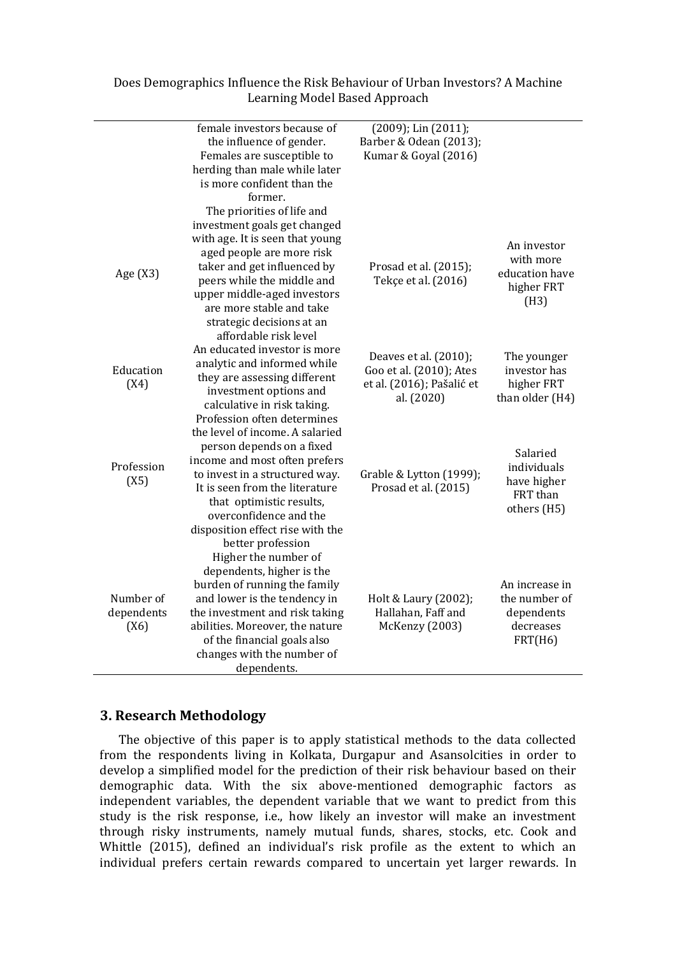|                                 | female investors because of<br>the influence of gender.<br>Females are susceptible to<br>herding than male while later<br>is more confident than the<br>former.<br>The priorities of life and<br>investment goals get changed<br>with age. It is seen that young                 | (2009); Lin (2011);<br>Barber & Odean (2013);<br>Kumar & Goyal (2016)                       |                                                                       |
|---------------------------------|----------------------------------------------------------------------------------------------------------------------------------------------------------------------------------------------------------------------------------------------------------------------------------|---------------------------------------------------------------------------------------------|-----------------------------------------------------------------------|
| Age (X3)                        | aged people are more risk<br>taker and get influenced by<br>peers while the middle and<br>upper middle-aged investors<br>are more stable and take<br>strategic decisions at an<br>affordable risk level                                                                          | Prosad et al. (2015);<br>Tekçe et al. (2016)                                                | An investor<br>with more<br>education have<br>higher FRT<br>(H3)      |
| Education<br>(X4)               | An educated investor is more<br>analytic and informed while<br>they are assessing different<br>investment options and<br>calculative in risk taking.<br>Profession often determines                                                                                              | Deaves et al. (2010);<br>Goo et al. (2010); Ates<br>et al. (2016); Pašalić et<br>al. (2020) | The younger<br>investor has<br>higher FRT<br>than older (H4)          |
| Profession<br>(X5)              | the level of income. A salaried<br>person depends on a fixed<br>income and most often prefers<br>to invest in a structured way.<br>It is seen from the literature<br>that optimistic results,<br>overconfidence and the<br>disposition effect rise with the<br>better profession | Grable & Lytton (1999);<br>Prosad et al. (2015)                                             | Salaried<br>individuals<br>have higher<br>FRT than<br>others (H5)     |
| Number of<br>dependents<br>(X6) | Higher the number of<br>dependents, higher is the<br>burden of running the family<br>and lower is the tendency in<br>the investment and risk taking<br>abilities. Moreover, the nature<br>of the financial goals also<br>changes with the number of<br>dependents.               | Holt & Laury (2002);<br>Hallahan, Faff and<br>McKenzy (2003)                                | An increase in<br>the number of<br>dependents<br>decreases<br>FRT(H6) |

## **3. Research Methodology**

The objective of this paper is to apply statistical methods to the data collected from the respondents living in Kolkata, Durgapur and Asansolcities in order to develop a simplified model for the prediction of their risk behaviour based on their demographic data. With the six above-mentioned demographic factors as independent variables, the dependent variable that we want to predict from this study is the risk response, i.e., how likely an investor will make an investment through risky instruments, namely mutual funds, shares, stocks, etc. Cook and Whittle (2015), defined an individual's risk profile as the extent to which an individual prefers certain rewards compared to uncertain yet larger rewards. In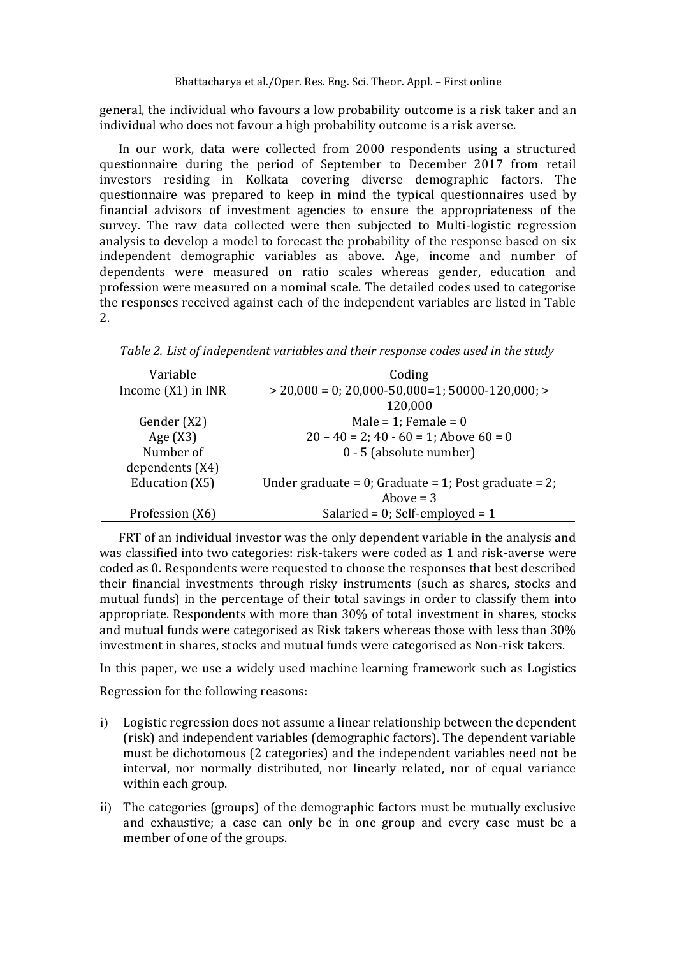general, the individual who favours a low probability outcome is a risk taker and an individual who does not favour a high probability outcome is a risk averse.

In our work, data were collected from 2000 respondents using a structured questionnaire during the period of September to December 2017 from retail investors residing in Kolkata covering diverse demographic factors. The questionnaire was prepared to keep in mind the typical questionnaires used by financial advisors of investment agencies to ensure the appropriateness of the survey. The raw data collected were then subjected to Multi-logistic regression analysis to develop a model to forecast the probability of the response based on six independent demographic variables as above. Age, income and number of dependents were measured on ratio scales whereas gender, education and profession were measured on a nominal scale. The detailed codes used to categorise the responses received against each of the independent variables are listed in Table 2.

Variable Coding Income (X1) in INR  $> 20,000 = 0$ ; 20,000-50,000=1; 50000-120,000; > 120,000 Gender  $(X2)$  Male = 1; Female = 0 Age  $(X3)$  20 – 40 = 2; 40 - 60 = 1; Above 60 = 0 Number of dependents (X4) 0 - 5 (absolute number) Education  $(X5)$  Under graduate = 0; Graduate = 1; Post graduate = 2;

Profession (X6) Salaried = 0; Self-employed = 1

Above  $=$  3

*Table 2. List of independent variables and their response codes used in the study*

FRT of an individual investor was the only dependent variable in the analysis and was classified into two categories: risk-takers were coded as 1 and risk-averse were coded as 0. Respondents were requested to choose the responses that best described their financial investments through risky instruments (such as shares, stocks and mutual funds) in the percentage of their total savings in order to classify them into appropriate. Respondents with more than 30% of total investment in shares, stocks and mutual funds were categorised as Risk takers whereas those with less than 30% investment in shares, stocks and mutual funds were categorised as Non-risk takers.

In this paper, we use a widely used machine learning framework such as Logistics

Regression for the following reasons:

- i) Logistic regression does not assume a linear relationship between the dependent (risk) and independent variables (demographic factors). The dependent variable must be dichotomous (2 categories) and the independent variables need not be interval, nor normally distributed, nor linearly related, nor of equal variance within each group.
- ii) The categories (groups) of the demographic factors must be mutually exclusive and exhaustive; a case can only be in one group and every case must be a member of one of the groups.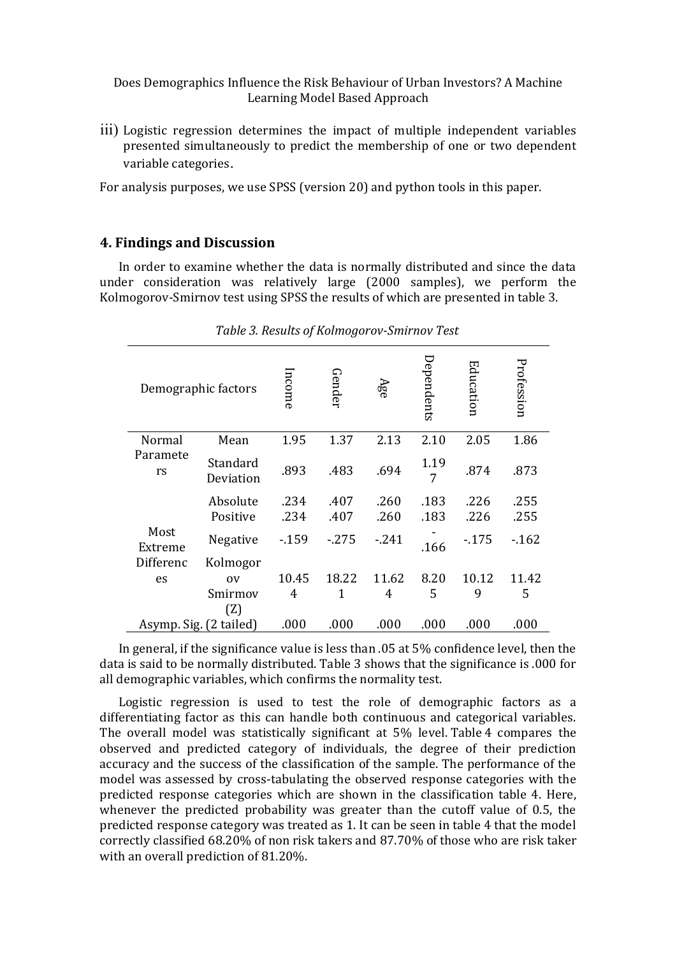iii) Logistic regression determines the impact of multiple independent variables presented simultaneously to predict the membership of one or two dependent variable categories.

For analysis purposes, we use SPSS (version 20) and python tools in this paper.

#### **4. Findings and Discussion**

In order to examine whether the data is normally distributed and since the data under consideration was relatively large (2000 samples), we perform the Kolmogorov-Smirnov test using SPSS the results of which are presented in table 3.

|                        | Demographic factors              | ncome        | Gender       | Аgе          | Dependents   | Education    | Profession   |
|------------------------|----------------------------------|--------------|--------------|--------------|--------------|--------------|--------------|
| Normal                 | Mean                             | 1.95         | 1.37         | 2.13         | 2.10         | 2.05         | 1.86         |
| Paramete<br>rs         | Standard<br>Deviation            | .893         | .483         | .694         | 1.19<br>7    | .874         | .873         |
|                        | Absolute<br>Positive             | .234<br>.234 | .407<br>.407 | .260<br>.260 | .183<br>.183 | .226<br>.226 | .255<br>.255 |
| Most<br>Extreme        | Negative                         | $-159$       | $-275$       | $-241$       | .166         | $-175$       | $-162$       |
| Differenc<br>es        | Kolmogor<br>0V<br>Smirmov<br>(Z) | 10.45<br>4   | 18.22<br>1   | 11.62<br>4   | 8.20<br>5    | 10.12<br>9   | 11.42<br>5   |
| Asymp. Sig. (2 tailed) |                                  | .000         | .000         | .000         | .000         | .000         | .000         |

*Table 3. Results of Kolmogorov-Smirnov Test*

In general, if the significance value is less than .05 at 5% confidence level, then the data is said to be normally distributed. Table 3 shows that the significance is .000 for all demographic variables, which confirms the normality test.

Logistic regression is used to test the role of demographic factors as a differentiating factor as this can handle both continuous and categorical variables. The overall model was statistically significant at 5% level. Table 4 compares the observed and predicted category of individuals, the degree of their prediction accuracy and the success of the classification of the sample. The performance of the model was assessed by cross-tabulating the observed response categories with the predicted response categories which are shown in the classification table 4. Here, whenever the predicted probability was greater than the cutoff value of 0.5, the predicted response category was treated as 1. It can be seen in table 4 that the model correctly classified 68.20% of non risk takers and 87.70% of those who are risk taker with an overall prediction of 81.20%.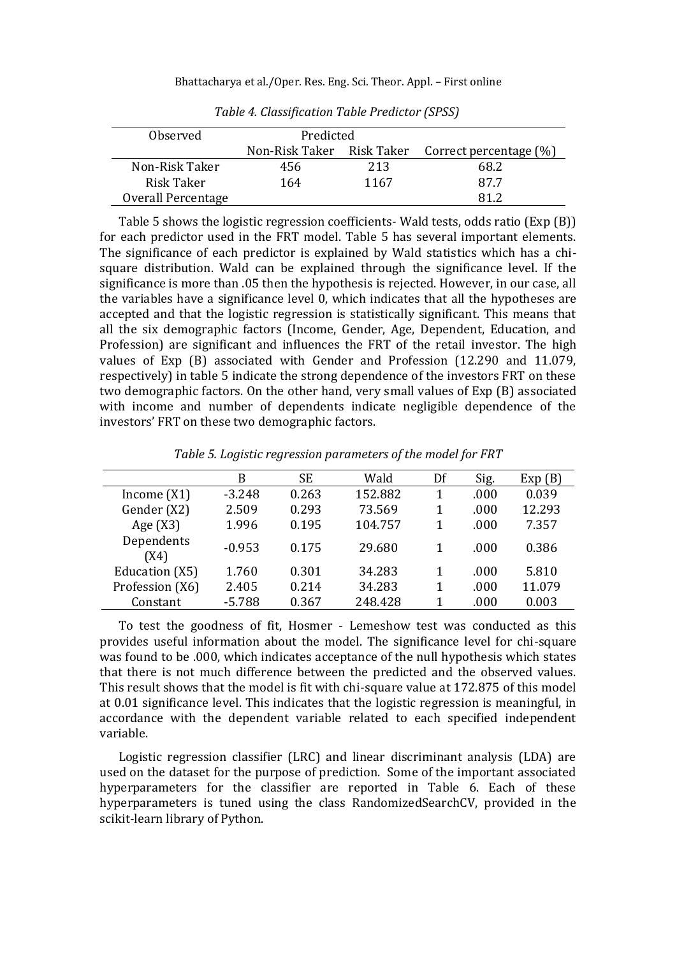| Observed           | Predicted |      |                                                  |
|--------------------|-----------|------|--------------------------------------------------|
|                    |           |      | Non-Risk Taker Risk Taker Correct percentage (%) |
| Non-Risk Taker     | 456       | 213  | 68.2                                             |
| Risk Taker         | 164       | 1167 | 877                                              |
| Overall Percentage |           |      | 81 2                                             |

*Table 4. Classification Table Predictor (SPSS)*

Table 5 shows the logistic regression coefficients- Wald tests, odds ratio (Exp (B)) for each predictor used in the FRT model. Table 5 has several important elements. The significance of each predictor is explained by Wald statistics which has a chisquare distribution. Wald can be explained through the significance level. If the significance is more than .05 then the hypothesis is rejected. However, in our case, all the variables have a significance level 0, which indicates that all the hypotheses are accepted and that the logistic regression is statistically significant. This means that all the six demographic factors (Income, Gender, Age, Dependent, Education, and Profession) are significant and influences the FRT of the retail investor. The high values of Exp (B) associated with Gender and Profession (12.290 and 11.079, respectively) in table 5 indicate the strong dependence of the investors FRT on these two demographic factors. On the other hand, very small values of Exp (B) associated with income and number of dependents indicate negligible dependence of the investors' FRT on these two demographic factors.

|                    | B        | SЕ    | Wald    | Df | Sig. | Exp(B) |
|--------------------|----------|-------|---------|----|------|--------|
| Income $(X1)$      | $-3.248$ | 0.263 | 152.882 | 1  | .000 | 0.039  |
| Gender (X2)        | 2.509    | 0.293 | 73.569  | 1  | .000 | 12.293 |
| Age $(X3)$         | 1.996    | 0.195 | 104.757 | 1  | .000 | 7.357  |
| Dependents<br>(X4) | $-0.953$ | 0.175 | 29.680  |    | .000 | 0.386  |
| Education (X5)     | 1.760    | 0.301 | 34.283  | 1  | .000 | 5.810  |
| Profession (X6)    | 2.405    | 0.214 | 34.283  | 1  | .000 | 11.079 |
| Constant           | $-5.788$ | 0.367 | 248.428 |    | .000 | 0.003  |

*Table 5. Logistic regression parameters of the model for FRT*

To test the goodness of fit, Hosmer - Lemeshow test was conducted as this provides useful information about the model. The significance level for chi-square was found to be .000, which indicates acceptance of the null hypothesis which states that there is not much difference between the predicted and the observed values. This result shows that the model is fit with chi-square value at 172.875 of this model at 0.01 significance level. This indicates that the logistic regression is meaningful, in accordance with the dependent variable related to each specified independent variable.

Logistic regression classifier (LRC) and linear discriminant analysis (LDA) are used on the dataset for the purpose of prediction. Some of the important associated hyperparameters for the classifier are reported in Table 6. Each of these hyperparameters is tuned using the class RandomizedSearchCV, provided in the scikit-learn library of Python.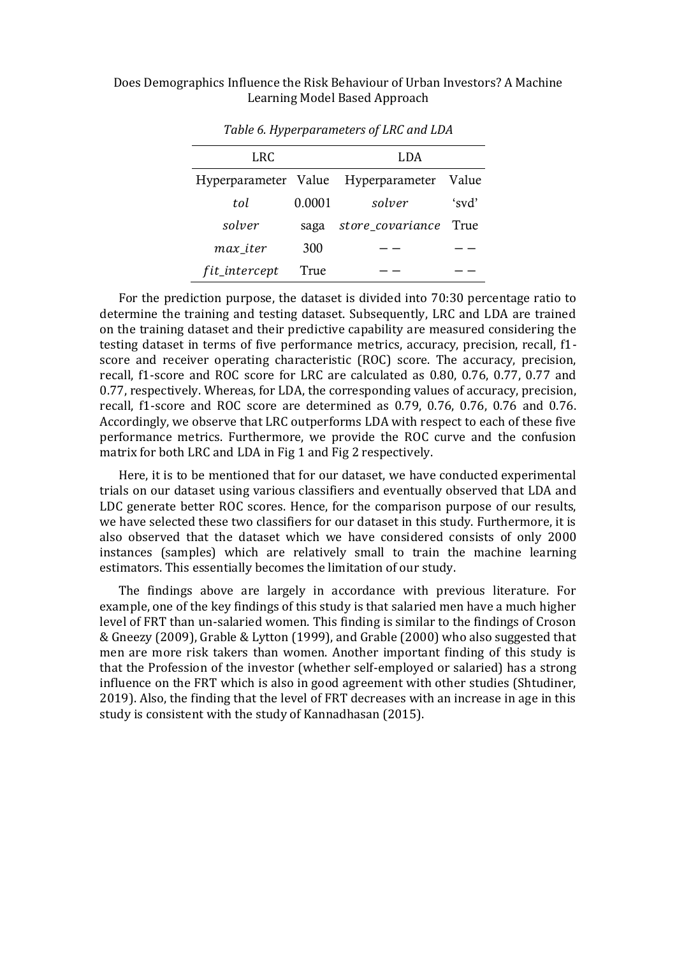| LRC                  |        | LDA              |       |  |  |
|----------------------|--------|------------------|-------|--|--|
| Hyperparameter Value |        | Hyperparameter   | Value |  |  |
| tol                  | 0.0001 | solver           | 'svd' |  |  |
| solver               | saga   | store_covariance | True  |  |  |
| max iter             | 300    |                  |       |  |  |
| fit_intercept        | True   |                  |       |  |  |

*Table 6. Hyperparameters of LRC and LDA*

For the prediction purpose, the dataset is divided into 70:30 percentage ratio to determine the training and testing dataset. Subsequently, LRC and LDA are trained on the training dataset and their predictive capability are measured considering the testing dataset in terms of five performance metrics, accuracy, precision, recall, f1 score and receiver operating characteristic (ROC) score. The accuracy, precision, recall, f1-score and ROC score for LRC are calculated as 0.80, 0.76, 0.77, 0.77 and 0.77, respectively. Whereas, for LDA, the corresponding values of accuracy, precision, recall, f1-score and ROC score are determined as 0.79, 0.76, 0.76, 0.76 and 0.76. Accordingly, we observe that LRC outperforms LDA with respect to each of these five performance metrics. Furthermore, we provide the ROC curve and the confusion matrix for both LRC and LDA in Fig 1 and Fig 2 respectively.

Here, it is to be mentioned that for our dataset, we have conducted experimental trials on our dataset using various classifiers and eventually observed that LDA and LDC generate better ROC scores. Hence, for the comparison purpose of our results, we have selected these two classifiers for our dataset in this study. Furthermore, it is also observed that the dataset which we have considered consists of only 2000 instances (samples) which are relatively small to train the machine learning estimators. This essentially becomes the limitation of our study.

The findings above are largely in accordance with previous literature. For example, one of the key findings of this study is that salaried men have a much higher level of FRT than un-salaried women. This finding is similar to the findings of Croson & Gneezy (2009), Grable & Lytton (1999), and Grable (2000) who also suggested that men are more risk takers than women. Another important finding of this study is that the Profession of the investor (whether self-employed or salaried) has a strong influence on the FRT which is also in good agreement with other studies (Shtudiner, 2019). Also, the finding that the level of FRT decreases with an increase in age in this study is consistent with the study of Kannadhasan (2015).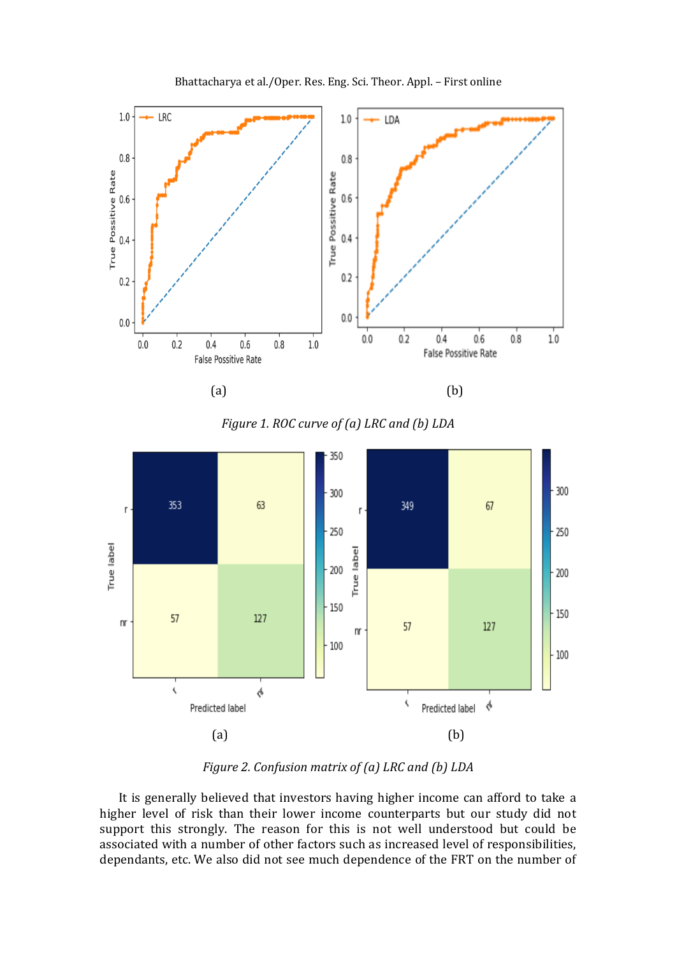

Bhattacharya et al./Oper. Res. Eng. Sci. Theor. Appl. – First online





*Figure 2. Confusion matrix of (a) LRC and (b) LDA*

It is generally believed that investors having higher income can afford to take a higher level of risk than their lower income counterparts but our study did not support this strongly. The reason for this is not well understood but could be associated with a number of other factors such as increased level of responsibilities, dependants, etc. We also did not see much dependence of the FRT on the number of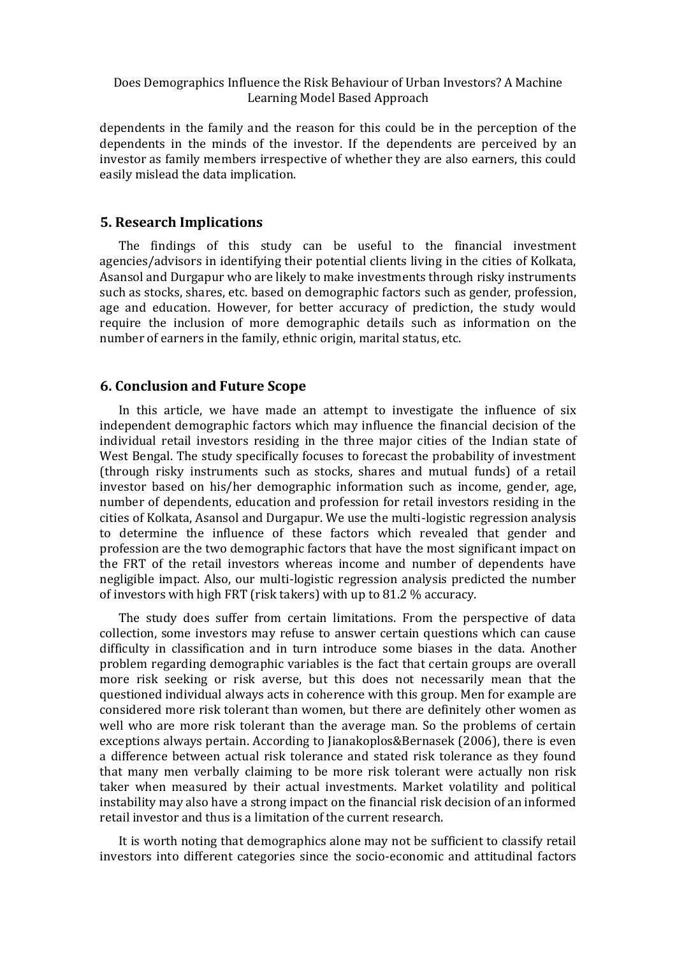dependents in the family and the reason for this could be in the perception of the dependents in the minds of the investor. If the dependents are perceived by an investor as family members irrespective of whether they are also earners, this could easily mislead the data implication.

#### **5. Research Implications**

The findings of this study can be useful to the financial investment agencies/advisors in identifying their potential clients living in the cities of Kolkata, Asansol and Durgapur who are likely to make investments through risky instruments such as stocks, shares, etc. based on demographic factors such as gender, profession, age and education. However, for better accuracy of prediction, the study would require the inclusion of more demographic details such as information on the number of earners in the family, ethnic origin, marital status, etc.

#### **6. Conclusion and Future Scope**

In this article, we have made an attempt to investigate the influence of six independent demographic factors which may influence the financial decision of the individual retail investors residing in the three major cities of the Indian state of West Bengal. The study specifically focuses to forecast the probability of investment (through risky instruments such as stocks, shares and mutual funds) of a retail investor based on his/her demographic information such as income, gender, age, number of dependents, education and profession for retail investors residing in the cities of Kolkata, Asansol and Durgapur. We use the multi-logistic regression analysis to determine the influence of these factors which revealed that gender and profession are the two demographic factors that have the most significant impact on the FRT of the retail investors whereas income and number of dependents have negligible impact. Also, our multi-logistic regression analysis predicted the number of investors with high FRT (risk takers) with up to 81.2 % accuracy.

The study does suffer from certain limitations. From the perspective of data collection, some investors may refuse to answer certain questions which can cause difficulty in classification and in turn introduce some biases in the data. Another problem regarding demographic variables is the fact that certain groups are overall more risk seeking or risk averse, but this does not necessarily mean that the questioned individual always acts in coherence with this group. Men for example are considered more risk tolerant than women, but there are definitely other women as well who are more risk tolerant than the average man. So the problems of certain exceptions always pertain. According to Jianakoplos&Bernasek (2006), there is even a difference between actual risk tolerance and stated risk tolerance as they found that many men verbally claiming to be more risk tolerant were actually non risk taker when measured by their actual investments. Market volatility and political instability may also have a strong impact on the financial risk decision of an informed retail investor and thus is a limitation of the current research.

It is worth noting that demographics alone may not be sufficient to classify retail investors into different categories since the socio-economic and attitudinal factors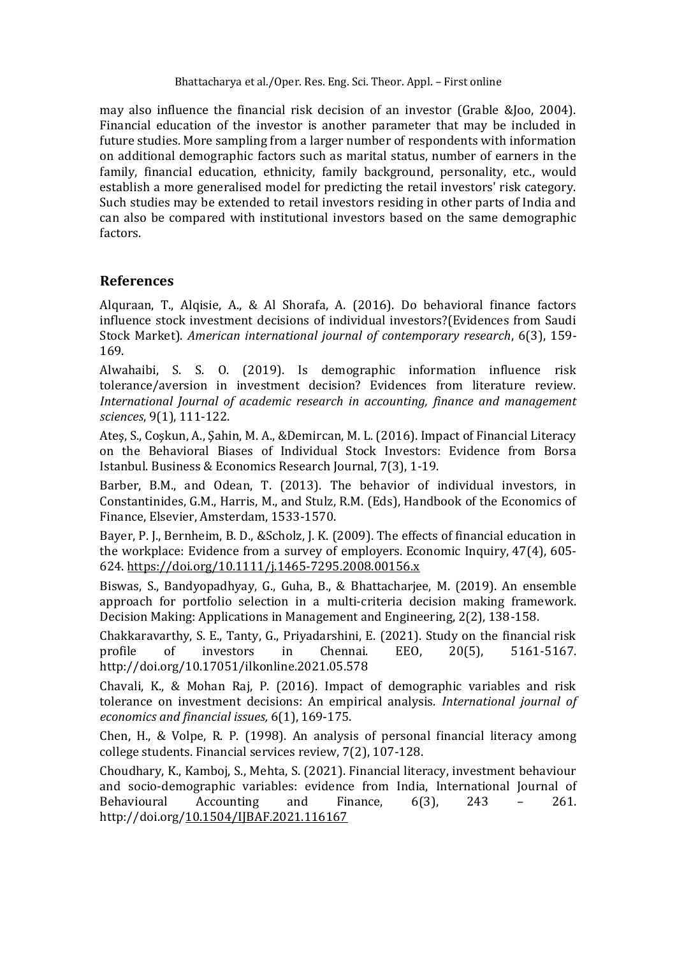may also influence the financial risk decision of an investor (Grable &Joo, 2004). Financial education of the investor is another parameter that may be included in future studies. More sampling from a larger number of respondents with information on additional demographic factors such as marital status, number of earners in the family, financial education, ethnicity, family background, personality, etc., would establish a more generalised model for predicting the retail investors' risk category. Such studies may be extended to retail investors residing in other parts of India and can also be compared with institutional investors based on the same demographic factors.

## **References**

Alquraan, T., Alqisie, A., & Al Shorafa, A. (2016). Do behavioral finance factors influence stock investment decisions of individual investors?(Evidences from Saudi Stock Market). *American international journal of contemporary research*, 6(3), 159- 169.

Alwahaibi, S. S. O. (2019). Is demographic information influence risk tolerance/aversion in investment decision? Evidences from literature review. *International Journal of academic research in accounting, finance and management sciences*, 9(1), 111-122.

Ateş, S., Coşkun, A., Şahin, M. A., &Demircan, M. L. (2016). Impact of Financial Literacy on the Behavioral Biases of Individual Stock Investors: Evidence from Borsa Istanbul. Business & Economics Research Journal, 7(3), 1-19.

Barber, B.M., and Odean, T. (2013). The behavior of individual investors, in Constantinides, G.M., Harris, M., and Stulz, R.M. (Eds), Handbook of the Economics of Finance, Elsevier, Amsterdam, 1533-1570.

Bayer, P. J., Bernheim, B. D., &Scholz, J. K. (2009). The effects of financial education in the workplace: Evidence from a survey of employers. Economic Inquiry, 47(4), 605- 624.<https://doi.org/10.1111/j.1465-7295.2008.00156.x>

Biswas, S., Bandyopadhyay, G., Guha, B., & Bhattacharjee, M. (2019). An ensemble approach for portfolio selection in a multi-criteria decision making framework. Decision Making: Applications in Management and Engineering, 2(2), 138-158.

Chakkaravarthy, S. E., Tanty, G., Priyadarshini, E. (2021). Study on the financial risk profile of investors in Chennai. EEO, 20(5), 5161-5167. [http://doi.org/10.17051/ilkonline.2021.05.578](http://dx.doi.org/10.17051/ilkonline.2021.05.578)

Chavali, K., & Mohan Raj, P. (2016). Impact of demographic variables and risk tolerance on investment decisions: An empirical analysis. *International journal of economics and financial issues,* 6(1), 169-175.

Chen, H., & Volpe, R. P. (1998). An analysis of personal financial literacy among college students. Financial services review, 7(2), 107-128.

Choudhary, K., Kamboj, S., Mehta, S. (2021). Financial literacy, investment behaviour and socio-demographic variables: evidence from India, International Journal of Behavioural Accounting and Finance, 6(3), 243 – 261. http://doi.org[/10.1504/IJBAF.2021.116167](https://dx.doi.org/10.1504/IJBAF.2021.116167)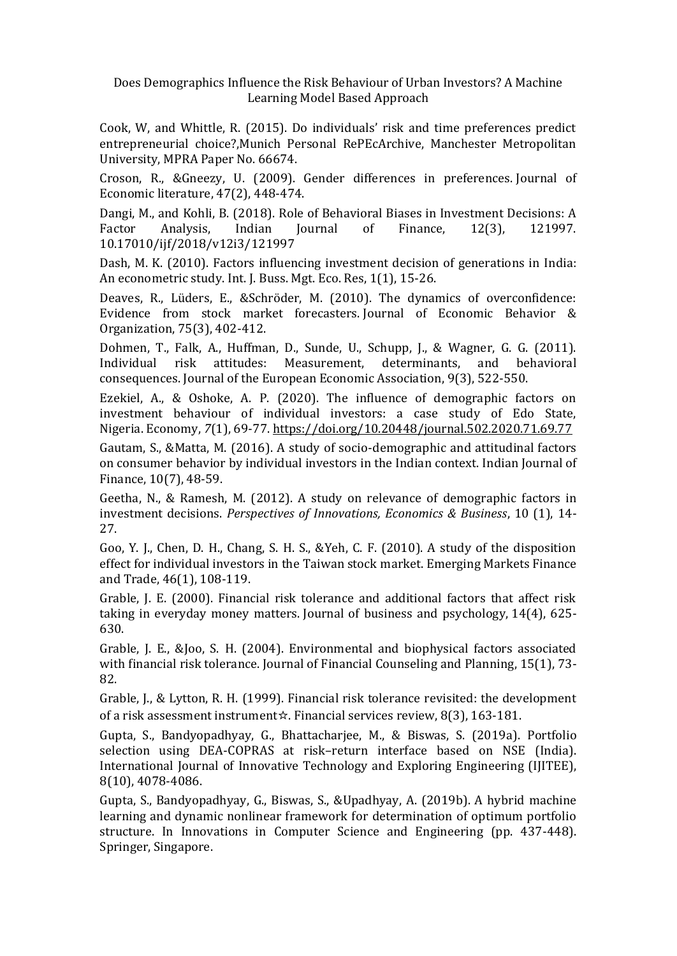Cook, W, and Whittle, R. (2015). Do individuals' risk and time preferences predict entrepreneurial choice?,Munich Personal RePEcArchive, Manchester Metropolitan University, MPRA Paper No. 66674.

Croson, R., &Gneezy, U. (2009). Gender differences in preferences. Journal of Economic literature, 47(2), 448-474.

Dangi, M., and Kohli, B. (2018). Role of Behavioral Biases in Investment Decisions: A Factor Analysis, Indian Journal of Finance, 12(3), 121997. 10.17010/ijf/2018/v12i3/121997

Dash, M. K. (2010). Factors influencing investment decision of generations in India: An econometric study. Int. J. Buss. Mgt. Eco. Res, 1(1), 15-26.

Deaves, R., Lüders, E., &Schröder, M. (2010). The dynamics of overconfidence: Evidence from stock market forecasters. Journal of Economic Behavior & Organization, 75(3), 402-412.

Dohmen, T., Falk, A., Huffman, D., Sunde, U., Schupp, J., & Wagner, G. G. (2011). Individual risk attitudes: Measurement, determinants, and behavioral consequences. Journal of the European Economic Association, 9(3), 522-550.

Ezekiel, A., & Oshoke, A. P. (2020). The influence of demographic factors on investment behaviour of individual investors: a case study of Edo State, Nigeria. Economy, *7*(1), 69-77.<https://doi.org/10.20448/journal.502.2020.71.69.77>

Gautam, S., &Matta, M. (2016). A study of socio-demographic and attitudinal factors on consumer behavior by individual investors in the Indian context. Indian Journal of Finance, 10(7), 48-59.

Geetha, N., & Ramesh, M. (2012). A study on relevance of demographic factors in investment decisions. *Perspectives of Innovations, Economics & Business*, 10 (1), 14- 27.

Goo, Y. J., Chen, D. H., Chang, S. H. S., &Yeh, C. F. (2010). A study of the disposition effect for individual investors in the Taiwan stock market. Emerging Markets Finance and Trade, 46(1), 108-119.

Grable, J. E. (2000). Financial risk tolerance and additional factors that affect risk taking in everyday money matters. Journal of business and psychology, 14(4), 625- 630.

Grable, J. E., &Joo, S. H. (2004). Environmental and biophysical factors associated with financial risk tolerance. Journal of Financial Counseling and Planning, 15(1), 73- 82.

Grable, J., & Lytton, R. H. (1999). Financial risk tolerance revisited: the development of a risk assessment instrument☆. Financial services review, 8(3), 163-181.

Gupta, S., Bandyopadhyay, G., Bhattacharjee, M., & Biswas, S. (2019a). Portfolio selection using DEA-COPRAS at risk–return interface based on NSE (India). International Journal of Innovative Technology and Exploring Engineering (IJITEE), 8(10), 4078-4086.

Gupta, S., Bandyopadhyay, G., Biswas, S., &Upadhyay, A. (2019b). A hybrid machine learning and dynamic nonlinear framework for determination of optimum portfolio structure. In Innovations in Computer Science and Engineering (pp. 437-448). Springer, Singapore.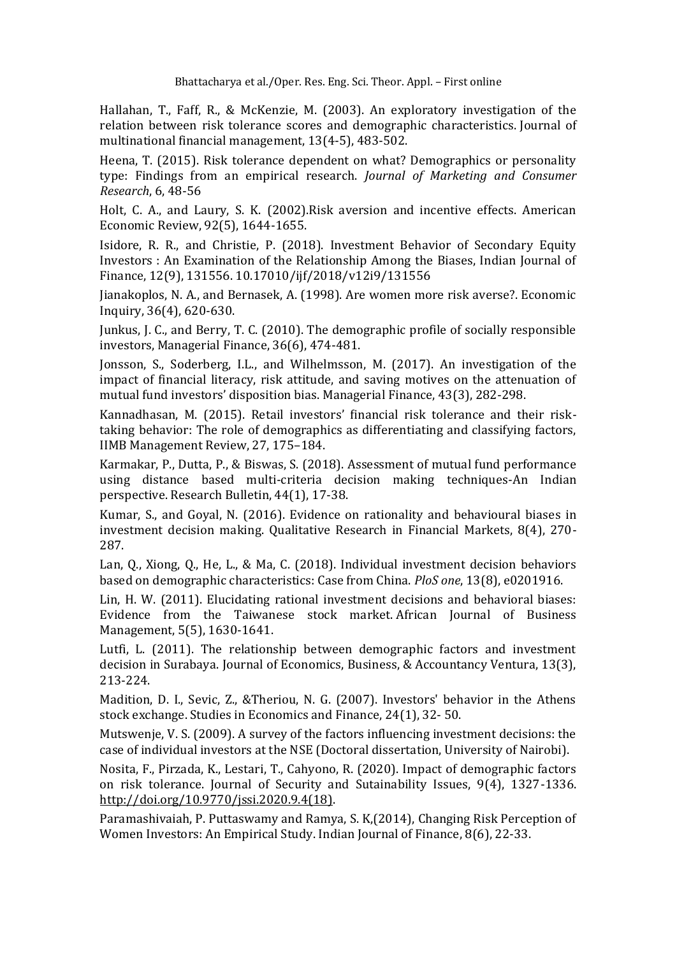Hallahan, T., Faff, R., & McKenzie, M. (2003). An exploratory investigation of the relation between risk tolerance scores and demographic characteristics. Journal of multinational financial management, 13(4-5), 483-502.

Heena, T. (2015). Risk tolerance dependent on what? Demographics or personality type: Findings from an empirical research. *Journal of Marketing and Consumer Research*, 6, 48-56

Holt, C. A., and Laury, S. K. (2002).Risk aversion and incentive effects. American Economic Review, 92(5), 1644-1655.

Isidore, R. R., and Christie, P. (2018). Investment Behavior of Secondary Equity Investors : An Examination of the Relationship Among the Biases, Indian Journal of Finance, 12(9), 131556. 10.17010/ijf/2018/v12i9/131556

Jianakoplos, N. A., and Bernasek, A. (1998). Are women more risk averse?. Economic Inquiry, 36(4), 620-630.

Junkus, J. C., and Berry, T. C. (2010). The demographic profile of socially responsible investors, Managerial Finance, 36(6), 474-481.

Jonsson, S., Soderberg, I.L., and Wilhelmsson, M. (2017). An investigation of the impact of financial literacy, risk attitude, and saving motives on the attenuation of mutual fund investors' disposition bias. Managerial Finance, 43(3), 282-298.

Kannadhasan, M. (2015). Retail investors' financial risk tolerance and their risktaking behavior: The role of demographics as differentiating and classifying factors, IIMB Management Review, 27, 175–184.

Karmakar, P., Dutta, P., & Biswas, S. (2018). Assessment of mutual fund performance using distance based multi-criteria decision making techniques-An Indian perspective. Research Bulletin, 44(1), 17-38.

Kumar, S., and Goyal, N. (2016). Evidence on rationality and behavioural biases in investment decision making. Qualitative Research in Financial Markets, 8(4), 270- 287.

Lan, Q., Xiong, Q., He, L., & Ma, C. (2018). Individual investment decision behaviors based on demographic characteristics: Case from China. *PloS one*, 13(8), e0201916.

Lin, H. W. (2011). Elucidating rational investment decisions and behavioral biases: Evidence from the Taiwanese stock market. African Journal of Business Management, 5(5), 1630-1641.

Lutfi, L. (2011). The relationship between demographic factors and investment decision in Surabaya. Journal of Economics, Business, & Accountancy Ventura, 13(3), 213-224.

Madition, D. I., Sevic, Z., &Theriou, N. G. (2007). Investors' behavior in the Athens stock exchange. Studies in Economics and Finance, 24(1), 32- 50.

Mutswenje, V. S. (2009). A survey of the factors influencing investment decisions: the case of individual investors at the NSE (Doctoral dissertation, University of Nairobi).

Nosita, F., Pirzada, K., Lestari, T., Cahyono, R. (2020). Impact of demographic factors on risk tolerance. Journal of Security and Sutainability Issues, 9(4), 1327-1336. [http://doi.org/10.9770/jssi.2020.9.4\(18\).](http://doi.org/10.9770/jssi.2020.9.4(18))

Paramashivaiah, P. Puttaswamy and Ramya, S. K,(2014), Changing Risk Perception of Women Investors: An Empirical Study. Indian Journal of Finance, 8(6), 22-33.